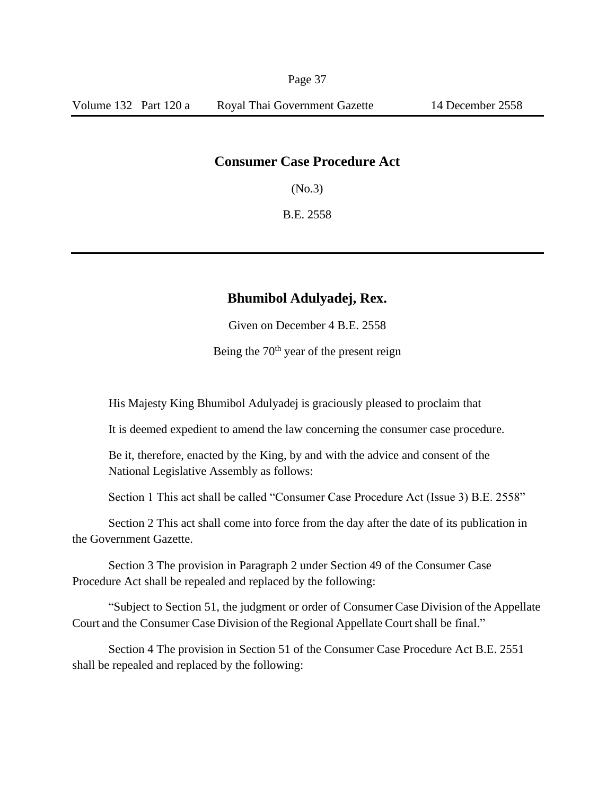## **Consumer Case Procedure Act**

(No.3)

B.E. 2558

## **Bhumibol Adulyadej, Rex.**

Given on December 4 B.E. 2558

Being the  $70<sup>th</sup>$  year of the present reign

His Majesty King Bhumibol Adulyadej is graciously pleased to proclaim that

It is deemed expedient to amend the law concerning the consumer case procedure.

Be it, therefore, enacted by the King, by and with the advice and consent of the National Legislative Assembly as follows:

Section 1 This act shall be called "Consumer Case Procedure Act (Issue 3) B.E. 2558"

Section 2 This act shall come into force from the day after the date of its publication in the Government Gazette.

Section 3 The provision in Paragraph 2 under Section 49 of the Consumer Case Procedure Act shall be repealed and replaced by the following:

"Subject to Section 51, the judgment or order of Consumer Case Division of the Appellate Court and the Consumer Case Division of the Regional Appellate Court shall be final."

Section 4 The provision in Section 51 of the Consumer Case Procedure Act B.E. 2551 shall be repealed and replaced by the following: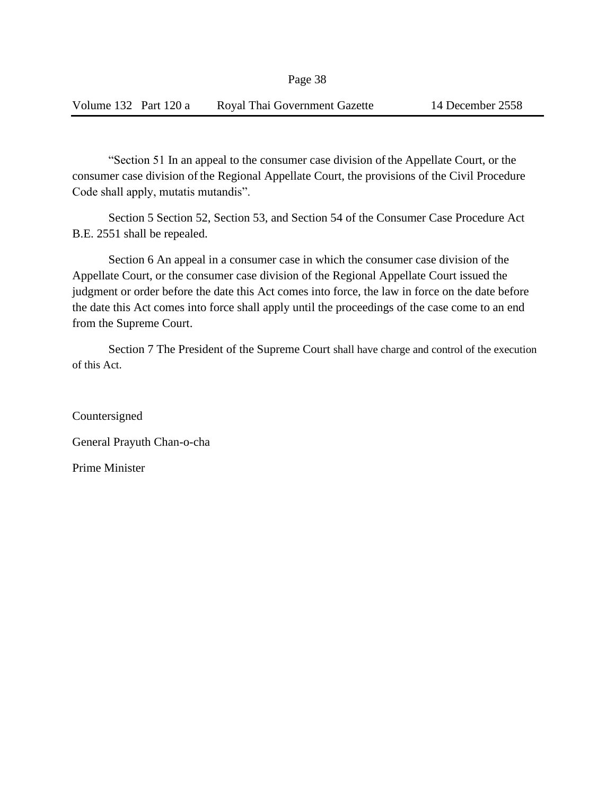"Section 51 In an appeal to the consumer case division of the Appellate Court, or the consumer case division of the Regional Appellate Court, the provisions of the Civil Procedure Code shall apply, mutatis mutandis".

Section 5 Section 52, Section 53, and Section 54 of the Consumer Case Procedure Act B.E. 2551 shall be repealed.

Section 6 An appeal in a consumer case in which the consumer case division of the Appellate Court, or the consumer case division of the Regional Appellate Court issued the judgment or order before the date this Act comes into force, the law in force on the date before the date this Act comes into force shall apply until the proceedings of the case come to an end from the Supreme Court.

Section 7 The President of the Supreme Court shall have charge and control of the execution of this Act.

Countersigned

General Prayuth Chan-o-cha

Prime Minister